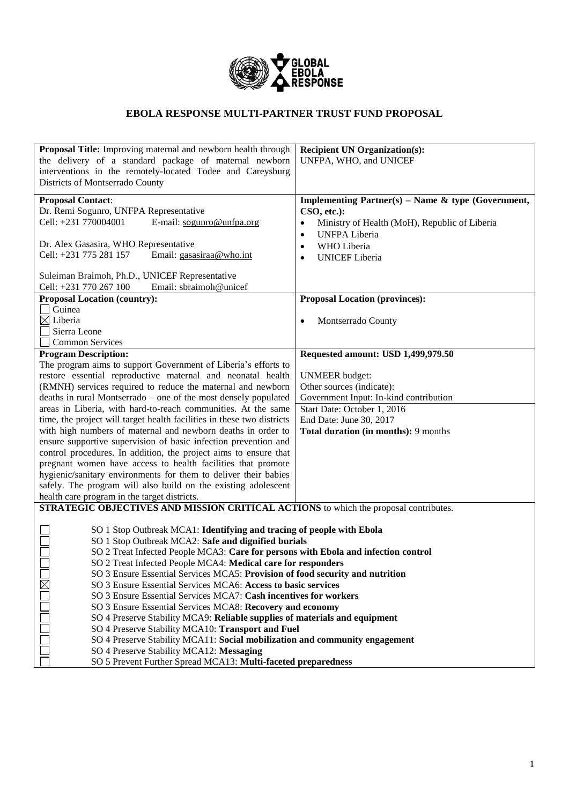

## **EBOLA RESPONSE MULTI-PARTNER TRUST FUND PROPOSAL**

| Proposal Title: Improving maternal and newborn health through                                                                     | <b>Recipient UN Organization(s):</b>                          |  |  |  |
|-----------------------------------------------------------------------------------------------------------------------------------|---------------------------------------------------------------|--|--|--|
| the delivery of a standard package of maternal newborn                                                                            | UNFPA, WHO, and UNICEF                                        |  |  |  |
| interventions in the remotely-located Todee and Careysburg                                                                        |                                                               |  |  |  |
| Districts of Montserrado County                                                                                                   |                                                               |  |  |  |
| <b>Proposal Contact:</b>                                                                                                          | <b>Implementing Partner(s) – Name &amp; type (Government,</b> |  |  |  |
| Dr. Remi Sogunro, UNFPA Representative                                                                                            | CSO, etc.):                                                   |  |  |  |
| E-mail: sogunro@unfpa.org<br>Cell: +231 770004001                                                                                 | Ministry of Health (MoH), Republic of Liberia                 |  |  |  |
|                                                                                                                                   | <b>UNFPA Liberia</b><br>$\bullet$                             |  |  |  |
| Dr. Alex Gasasira, WHO Representative                                                                                             | WHO Liberia<br>$\bullet$                                      |  |  |  |
| Cell: +231 775 281 157<br>Email: gasasiraa@who.int                                                                                | <b>UNICEF</b> Liberia<br>$\bullet$                            |  |  |  |
| Suleiman Braimoh, Ph.D., UNICEF Representative                                                                                    |                                                               |  |  |  |
| Email: sbraimoh@unicef<br>Cell: +231 770 267 100                                                                                  |                                                               |  |  |  |
| <b>Proposal Location (country):</b>                                                                                               | <b>Proposal Location (provinces):</b>                         |  |  |  |
| Guinea                                                                                                                            |                                                               |  |  |  |
| $\boxtimes$ Liberia                                                                                                               | Montserrado County                                            |  |  |  |
| Sierra Leone                                                                                                                      |                                                               |  |  |  |
| <b>Common Services</b>                                                                                                            |                                                               |  |  |  |
| <b>Program Description:</b><br>The program aims to support Government of Liberia's efforts to                                     | Requested amount: USD 1,499,979.50                            |  |  |  |
| restore essential reproductive maternal and neonatal health                                                                       | <b>UNMEER</b> budget:                                         |  |  |  |
| (RMNH) services required to reduce the maternal and newborn                                                                       | Other sources (indicate):                                     |  |  |  |
| deaths in rural Montserrado – one of the most densely populated                                                                   | Government Input: In-kind contribution                        |  |  |  |
| areas in Liberia, with hard-to-reach communities. At the same                                                                     | Start Date: October 1, 2016                                   |  |  |  |
| time, the project will target health facilities in these two districts<br>End Date: June 30, 2017                                 |                                                               |  |  |  |
| with high numbers of maternal and newborn deaths in order to                                                                      | Total duration (in months): 9 months                          |  |  |  |
| ensure supportive supervision of basic infection prevention and                                                                   |                                                               |  |  |  |
| control procedures. In addition, the project aims to ensure that                                                                  |                                                               |  |  |  |
| pregnant women have access to health facilities that promote<br>hygienic/sanitary environments for them to deliver their babies   |                                                               |  |  |  |
| safely. The program will also build on the existing adolescent                                                                    |                                                               |  |  |  |
| health care program in the target districts.                                                                                      |                                                               |  |  |  |
| STRATEGIC OBJECTIVES AND MISSION CRITICAL ACTIONS to which the proposal contributes.                                              |                                                               |  |  |  |
|                                                                                                                                   |                                                               |  |  |  |
| SO 1 Stop Outbreak MCA1: Identifying and tracing of people with Ebola                                                             |                                                               |  |  |  |
| SO 1 Stop Outbreak MCA2: Safe and dignified burials                                                                               |                                                               |  |  |  |
| SO 2 Treat Infected People MCA3: Care for persons with Ebola and infection control                                                |                                                               |  |  |  |
| SO 2 Treat Infected People MCA4: Medical care for responders                                                                      |                                                               |  |  |  |
| SO 3 Ensure Essential Services MCA5: Provision of food security and nutrition                                                     |                                                               |  |  |  |
| SO 3 Ensure Essential Services MCA6: Access to basic services<br>SO 3 Ensure Essential Services MCA7: Cash incentives for workers |                                                               |  |  |  |
| SO 3 Ensure Essential Services MCA8: Recovery and economy                                                                         |                                                               |  |  |  |
| SO 4 Preserve Stability MCA9: Reliable supplies of materials and equipment                                                        |                                                               |  |  |  |
| SO 4 Preserve Stability MCA10: Transport and Fuel                                                                                 |                                                               |  |  |  |
| SO 4 Preserve Stability MCA11: Social mobilization and community engagement                                                       |                                                               |  |  |  |
| SO 4 Preserve Stability MCA12: Messaging                                                                                          |                                                               |  |  |  |
| SO 5 Prevent Further Spread MCA13: Multi-faceted preparedness                                                                     |                                                               |  |  |  |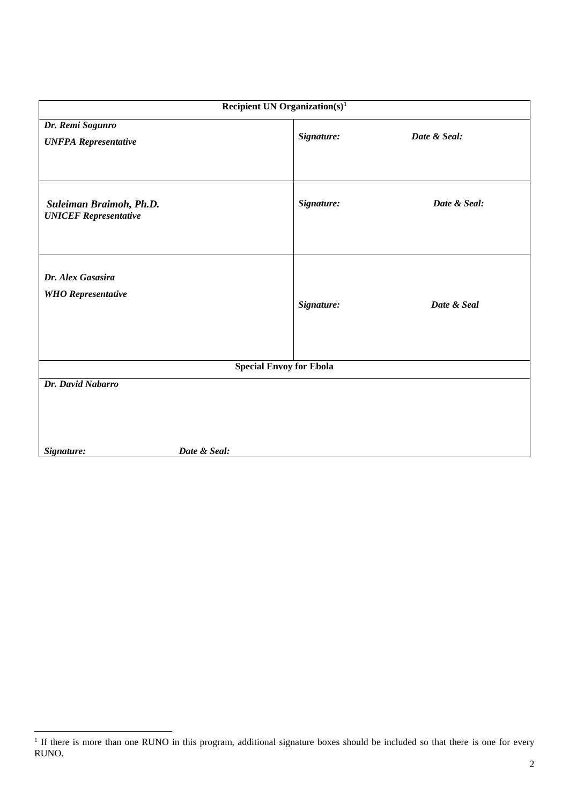| Recipient UN Organization( $s$ ) <sup>1</sup>           |            |              |  |  |  |
|---------------------------------------------------------|------------|--------------|--|--|--|
| Dr. Remi Sogunro<br><b>UNFPA Representative</b>         | Signature: | Date & Seal: |  |  |  |
| Suleiman Braimoh, Ph.D.<br><b>UNICEF</b> Representative | Signature: | Date & Seal: |  |  |  |
| Dr. Alex Gasasira<br><b>WHO</b> Representative          | Signature: | Date & Seal  |  |  |  |
| <b>Special Envoy for Ebola</b>                          |            |              |  |  |  |
| Dr. David Nabarro<br>Date & Seal:<br>Signature:         |            |              |  |  |  |

<sup>&</sup>lt;sup>1</sup> If there is more than one RUNO in this program, additional signature boxes should be included so that there is one for every RUNO.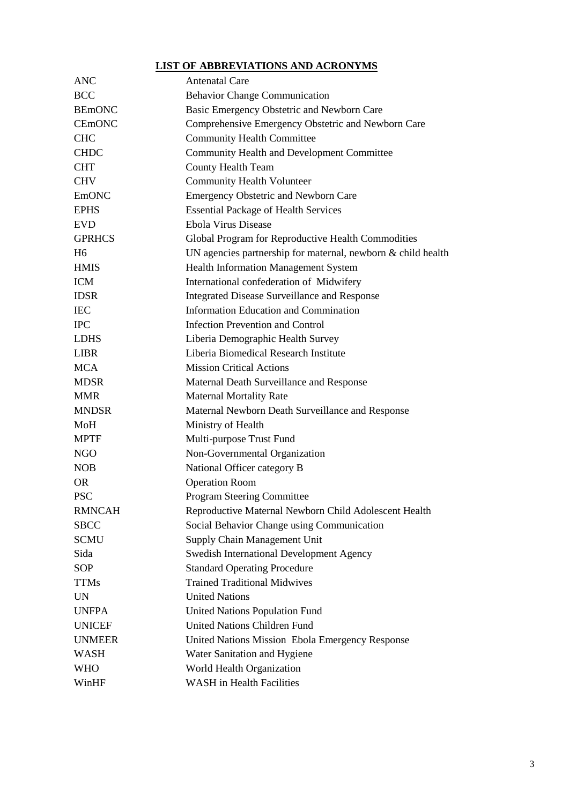#### **LIST OF ABBREVIATIONS AND ACRONYMS**

| <b>ANC</b>     | <b>Antenatal Care</b>                                        |
|----------------|--------------------------------------------------------------|
| <b>BCC</b>     | <b>Behavior Change Communication</b>                         |
| <b>BEmONC</b>  | Basic Emergency Obstetric and Newborn Care                   |
| <b>CEmONC</b>  | Comprehensive Emergency Obstetric and Newborn Care           |
| <b>CHC</b>     | <b>Community Health Committee</b>                            |
| <b>CHDC</b>    | <b>Community Health and Development Committee</b>            |
| <b>CHT</b>     | <b>County Health Team</b>                                    |
| <b>CHV</b>     | <b>Community Health Volunteer</b>                            |
| <b>EmONC</b>   | <b>Emergency Obstetric and Newborn Care</b>                  |
| <b>EPHS</b>    | <b>Essential Package of Health Services</b>                  |
| <b>EVD</b>     | Ebola Virus Disease                                          |
| <b>GPRHCS</b>  | Global Program for Reproductive Health Commodities           |
| H <sub>6</sub> | UN agencies partnership for maternal, newborn & child health |
| <b>HMIS</b>    | <b>Health Information Management System</b>                  |
| <b>ICM</b>     | International confederation of Midwifery                     |
| <b>IDSR</b>    | Integrated Disease Surveillance and Response                 |
| <b>IEC</b>     | <b>Information Education and Commination</b>                 |
| <b>IPC</b>     | <b>Infection Prevention and Control</b>                      |
| <b>LDHS</b>    | Liberia Demographic Health Survey                            |
| <b>LIBR</b>    | Liberia Biomedical Research Institute                        |
| <b>MCA</b>     | <b>Mission Critical Actions</b>                              |
| <b>MDSR</b>    | Maternal Death Surveillance and Response                     |
| <b>MMR</b>     | <b>Maternal Mortality Rate</b>                               |
| <b>MNDSR</b>   | Maternal Newborn Death Surveillance and Response             |
| MoH            | Ministry of Health                                           |
| <b>MPTF</b>    | Multi-purpose Trust Fund                                     |
| <b>NGO</b>     | Non-Governmental Organization                                |
| <b>NOB</b>     | National Officer category B                                  |
| <b>OR</b>      | <b>Operation Room</b>                                        |
| <b>PSC</b>     | <b>Program Steering Committee</b>                            |
| <b>RMNCAH</b>  | Reproductive Maternal Newborn Child Adolescent Health        |
| <b>SBCC</b>    | Social Behavior Change using Communication                   |
| <b>SCMU</b>    | Supply Chain Management Unit                                 |
| Sida           | Swedish International Development Agency                     |
| <b>SOP</b>     | <b>Standard Operating Procedure</b>                          |
| <b>TTMs</b>    | <b>Trained Traditional Midwives</b>                          |
| <b>UN</b>      | <b>United Nations</b>                                        |
| <b>UNFPA</b>   | <b>United Nations Population Fund</b>                        |
| <b>UNICEF</b>  | <b>United Nations Children Fund</b>                          |
| <b>UNMEER</b>  | United Nations Mission Ebola Emergency Response              |
| <b>WASH</b>    | Water Sanitation and Hygiene                                 |
| <b>WHO</b>     | World Health Organization                                    |
| WinHF          | <b>WASH</b> in Health Facilities                             |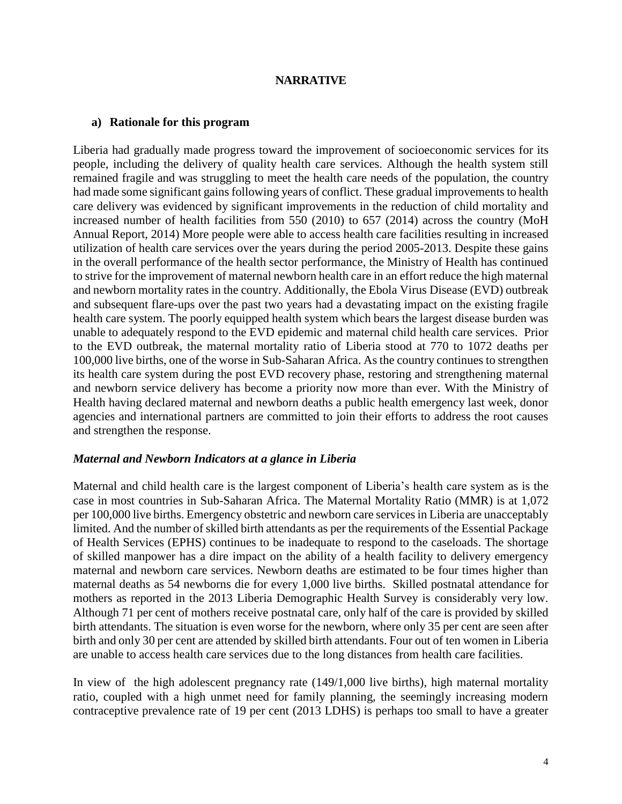#### **NARRATIVE**

#### **a) Rationale for this program**

Liberia had gradually made progress toward the improvement of socioeconomic services for its people, including the delivery of quality health care services. Although the health system still remained fragile and was struggling to meet the health care needs of the population, the country had made some significant gains following years of conflict. These gradual improvements to health care delivery was evidenced by significant improvements in the reduction of child mortality and increased number of health facilities from 550 (2010) to 657 (2014) across the country (MoH Annual Report, 2014) More people were able to access health care facilities resulting in increased utilization of health care services over the years during the period 2005-2013. Despite these gains in the overall performance of the health sector performance, the Ministry of Health has continued to strive for the improvement of maternal newborn health care in an effort reduce the high maternal and newborn mortality rates in the country. Additionally, the Ebola Virus Disease (EVD) outbreak and subsequent flare-ups over the past two years had a devastating impact on the existing fragile health care system. The poorly equipped health system which bears the largest disease burden was unable to adequately respond to the EVD epidemic and maternal child health care services. Prior to the EVD outbreak, the maternal mortality ratio of Liberia stood at 770 to 1072 deaths per 100,000 live births, one of the worse in Sub-Saharan Africa. As the country continues to strengthen its health care system during the post EVD recovery phase, restoring and strengthening maternal and newborn service delivery has become a priority now more than ever. With the Ministry of Health having declared maternal and newborn deaths a public health emergency last week, donor agencies and international partners are committed to join their efforts to address the root causes and strengthen the response.

#### *Maternal and Newborn Indicators at a glance in Liberia*

Maternal and child health care is the largest component of Liberia's health care system as is the case in most countries in Sub-Saharan Africa. The Maternal Mortality Ratio (MMR) is at 1,072 per 100,000 live births. Emergency obstetric and newborn care services in Liberia are unacceptably limited. And the number of skilled birth attendants as per the requirements of the Essential Package of Health Services (EPHS) continues to be inadequate to respond to the caseloads. The shortage of skilled manpower has a dire impact on the ability of a health facility to delivery emergency maternal and newborn care services. Newborn deaths are estimated to be four times higher than maternal deaths as 54 newborns die for every 1,000 live births. Skilled postnatal attendance for mothers as reported in the 2013 Liberia Demographic Health Survey is considerably very low. Although 71 per cent of mothers receive postnatal care, only half of the care is provided by skilled birth attendants. The situation is even worse for the newborn, where only 35 per cent are seen after birth and only 30 per cent are attended by skilled birth attendants. Four out of ten women in Liberia are unable to access health care services due to the long distances from health care facilities.

In view of the high adolescent pregnancy rate (149/1,000 live births), high maternal mortality ratio, coupled with a high unmet need for family planning, the seemingly increasing modern contraceptive prevalence rate of 19 per cent (2013 LDHS) is perhaps too small to have a greater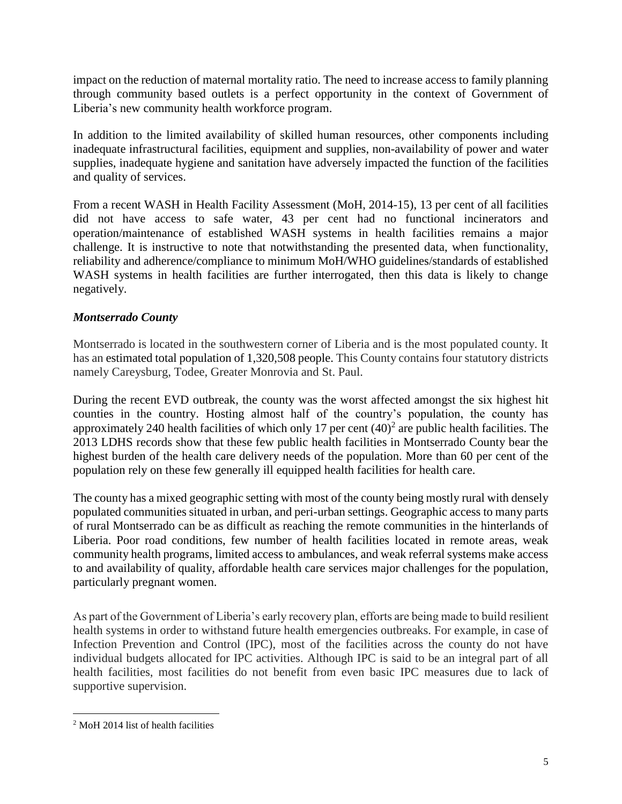impact on the reduction of maternal mortality ratio. The need to increase access to family planning through community based outlets is a perfect opportunity in the context of Government of Liberia's new community health workforce program.

In addition to the limited availability of skilled human resources, other components including inadequate infrastructural facilities, equipment and supplies, non-availability of power and water supplies, inadequate hygiene and sanitation have adversely impacted the function of the facilities and quality of services.

From a recent WASH in Health Facility Assessment (MoH, 2014-15), 13 per cent of all facilities did not have access to safe water, 43 per cent had no functional incinerators and operation/maintenance of established WASH systems in health facilities remains a major challenge. It is instructive to note that notwithstanding the presented data, when functionality, reliability and adherence/compliance to minimum MoH/WHO guidelines/standards of established WASH systems in health facilities are further interrogated, then this data is likely to change negatively.

## *Montserrado County*

Montserrado is located in the southwestern corner of Liberia and is the most populated county. It has an estimated total population of 1,320,508 people. This County contains four statutory districts namely Careysburg, Todee, Greater Monrovia and St. Paul.

During the recent EVD outbreak, the county was the worst affected amongst the six highest hit counties in the country. Hosting almost half of the country's population, the county has approximately 240 health facilities of which only 17 per cent  $(40)^2$  are public health facilities. The 2013 LDHS records show that these few public health facilities in Montserrado County bear the highest burden of the health care delivery needs of the population. More than 60 per cent of the population rely on these few generally ill equipped health facilities for health care.

The county has a mixed geographic setting with most of the county being mostly rural with densely populated communities situated in urban, and peri-urban settings. Geographic access to many parts of rural Montserrado can be as difficult as reaching the remote communities in the hinterlands of Liberia. Poor road conditions, few number of health facilities located in remote areas, weak community health programs, limited access to ambulances, and weak referral systems make access to and availability of quality, affordable health care services major challenges for the population, particularly pregnant women.

As part of the Government of Liberia's early recovery plan, efforts are being made to build resilient health systems in order to withstand future health emergencies outbreaks. For example, in case of Infection Prevention and Control (IPC), most of the facilities across the county do not have individual budgets allocated for IPC activities. Although IPC is said to be an integral part of all health facilities, most facilities do not benefit from even basic IPC measures due to lack of supportive supervision.

 $\overline{\phantom{a}}$ <sup>2</sup> MoH 2014 list of health facilities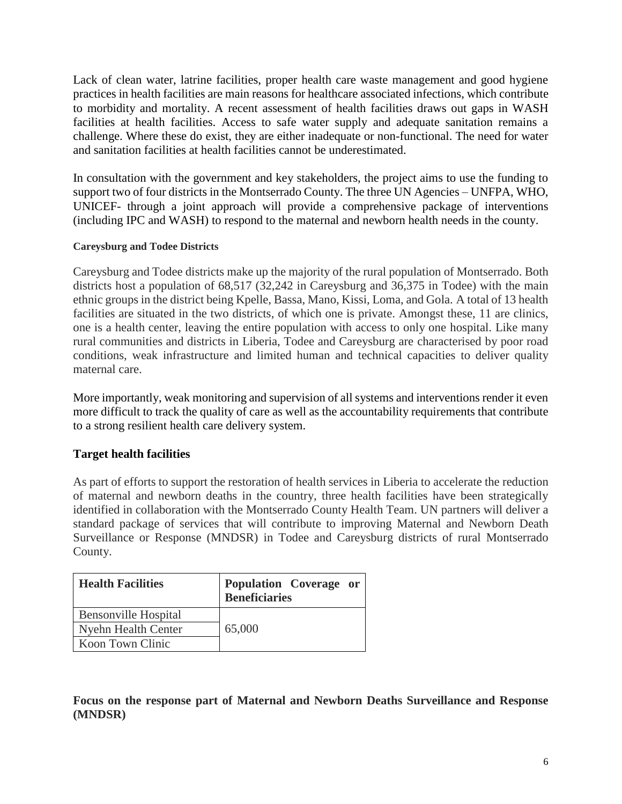Lack of clean water, latrine facilities, proper health care waste management and good hygiene practices in health facilities are main reasons for healthcare associated infections, which contribute to morbidity and mortality. A recent assessment of health facilities draws out gaps in WASH facilities at health facilities. Access to safe water supply and adequate sanitation remains a challenge. Where these do exist, they are either inadequate or non-functional. The need for water and sanitation facilities at health facilities cannot be underestimated.

In consultation with the government and key stakeholders, the project aims to use the funding to support two of four districts in the Montserrado County. The three UN Agencies – UNFPA, WHO, UNICEF- through a joint approach will provide a comprehensive package of interventions (including IPC and WASH) to respond to the maternal and newborn health needs in the county.

#### **Careysburg and Todee Districts**

Careysburg and Todee districts make up the majority of the rural population of Montserrado. Both districts host a population of 68,517 (32,242 in Careysburg and 36,375 in Todee) with the main ethnic groups in the district being Kpelle, Bassa, Mano, Kissi, Loma, and Gola. A total of 13 health facilities are situated in the two districts, of which one is private. Amongst these, 11 are clinics, one is a health center, leaving the entire population with access to only one hospital. Like many rural communities and districts in Liberia, Todee and Careysburg are characterised by poor road conditions, weak infrastructure and limited human and technical capacities to deliver quality maternal care.

More importantly, weak monitoring and supervision of all systems and interventions render it even more difficult to track the quality of care as well as the accountability requirements that contribute to a strong resilient health care delivery system.

## **Target health facilities**

As part of efforts to support the restoration of health services in Liberia to accelerate the reduction of maternal and newborn deaths in the country, three health facilities have been strategically identified in collaboration with the Montserrado County Health Team. UN partners will deliver a standard package of services that will contribute to improving Maternal and Newborn Death Surveillance or Response (MNDSR) in Todee and Careysburg districts of rural Montserrado County.

| <b>Health Facilities</b>    | Population Coverage or<br><b>Beneficiaries</b> |
|-----------------------------|------------------------------------------------|
| <b>Bensonville Hospital</b> |                                                |
| Nyehn Health Center         | 65,000                                         |
| Koon Town Clinic            |                                                |

**Focus on the response part of Maternal and Newborn Deaths Surveillance and Response (MNDSR)**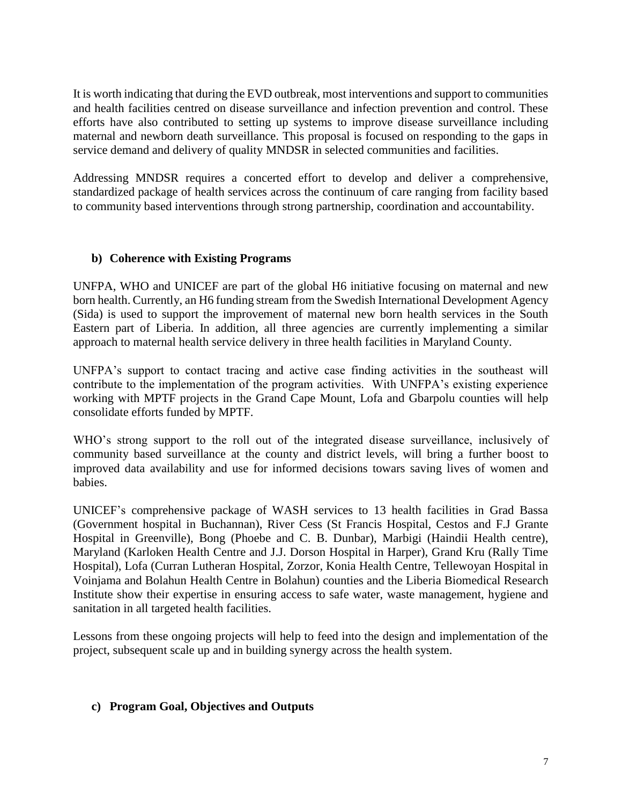It is worth indicating that during the EVD outbreak, most interventions and support to communities and health facilities centred on disease surveillance and infection prevention and control. These efforts have also contributed to setting up systems to improve disease surveillance including maternal and newborn death surveillance. This proposal is focused on responding to the gaps in service demand and delivery of quality MNDSR in selected communities and facilities.

Addressing MNDSR requires a concerted effort to develop and deliver a comprehensive, standardized package of health services across the continuum of care ranging from facility based to community based interventions through strong partnership, coordination and accountability.

#### **b) Coherence with Existing Programs**

UNFPA, WHO and UNICEF are part of the global H6 initiative focusing on maternal and new born health. Currently, an H6 funding stream from the Swedish International Development Agency (Sida) is used to support the improvement of maternal new born health services in the South Eastern part of Liberia. In addition, all three agencies are currently implementing a similar approach to maternal health service delivery in three health facilities in Maryland County.

UNFPA's support to contact tracing and active case finding activities in the southeast will contribute to the implementation of the program activities. With UNFPA's existing experience working with MPTF projects in the Grand Cape Mount, Lofa and Gbarpolu counties will help consolidate efforts funded by MPTF.

WHO's strong support to the roll out of the integrated disease surveillance, inclusively of community based surveillance at the county and district levels, will bring a further boost to improved data availability and use for informed decisions towars saving lives of women and babies.

UNICEF's comprehensive package of WASH services to 13 health facilities in Grad Bassa (Government hospital in Buchannan), River Cess (St Francis Hospital, Cestos and F.J Grante Hospital in Greenville), Bong (Phoebe and C. B. Dunbar), Marbigi (Haindii Health centre), Maryland (Karloken Health Centre and J.J. Dorson Hospital in Harper), Grand Kru (Rally Time Hospital), Lofa (Curran Lutheran Hospital, Zorzor, Konia Health Centre, Tellewoyan Hospital in Voinjama and Bolahun Health Centre in Bolahun) counties and the Liberia Biomedical Research Institute show their expertise in ensuring access to safe water, waste management, hygiene and sanitation in all targeted health facilities.

Lessons from these ongoing projects will help to feed into the design and implementation of the project, subsequent scale up and in building synergy across the health system.

## **c) Program Goal, Objectives and Outputs**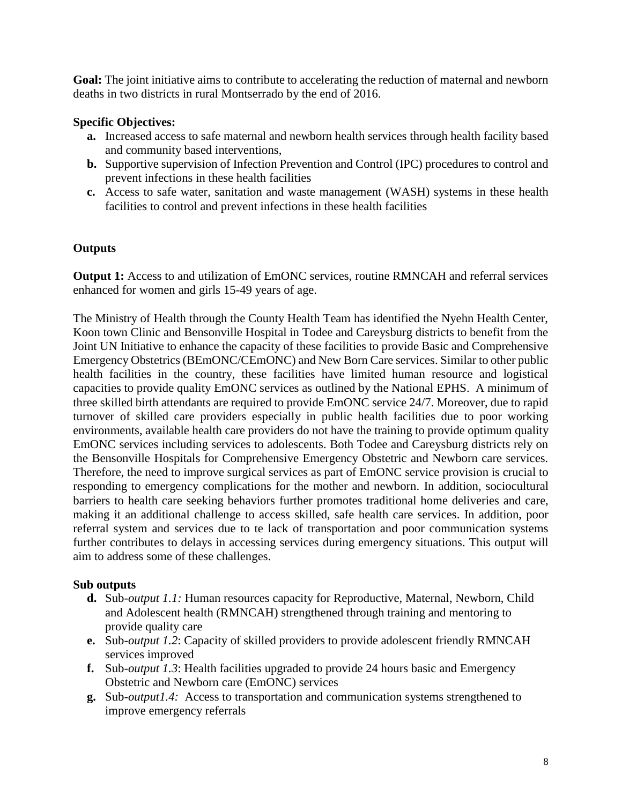**Goal:** The joint initiative aims to contribute to accelerating the reduction of maternal and newborn deaths in two districts in rural Montserrado by the end of 2016.

## **Specific Objectives:**

- **a.** Increased access to safe maternal and newborn health services through health facility based and community based interventions,
- **b.** Supportive supervision of Infection Prevention and Control (IPC) procedures to control and prevent infections in these health facilities
- **c.** Access to safe water, sanitation and waste management (WASH) systems in these health facilities to control and prevent infections in these health facilities

#### **Outputs**

**Output 1:** Access to and utilization of EmONC services, routine RMNCAH and referral services enhanced for women and girls 15-49 years of age.

The Ministry of Health through the County Health Team has identified the Nyehn Health Center, Koon town Clinic and Bensonville Hospital in Todee and Careysburg districts to benefit from the Joint UN Initiative to enhance the capacity of these facilities to provide Basic and Comprehensive Emergency Obstetrics (BEmONC/CEmONC) and New Born Care services. Similar to other public health facilities in the country, these facilities have limited human resource and logistical capacities to provide quality EmONC services as outlined by the National EPHS. A minimum of three skilled birth attendants are required to provide EmONC service 24/7. Moreover, due to rapid turnover of skilled care providers especially in public health facilities due to poor working environments, available health care providers do not have the training to provide optimum quality EmONC services including services to adolescents. Both Todee and Careysburg districts rely on the Bensonville Hospitals for Comprehensive Emergency Obstetric and Newborn care services. Therefore, the need to improve surgical services as part of EmONC service provision is crucial to responding to emergency complications for the mother and newborn. In addition, sociocultural barriers to health care seeking behaviors further promotes traditional home deliveries and care, making it an additional challenge to access skilled, safe health care services. In addition, poor referral system and services due to te lack of transportation and poor communication systems further contributes to delays in accessing services during emergency situations. This output will aim to address some of these challenges.

## **Sub outputs**

- **d.** Sub*-output 1.1:* Human resources capacity for Reproductive, Maternal, Newborn, Child and Adolescent health (RMNCAH) strengthened through training and mentoring to provide quality care
- **e.** Sub*-output 1.2*: Capacity of skilled providers to provide adolescent friendly RMNCAH services improved
- **f.** Sub*-output 1.3*: Health facilities upgraded to provide 24 hours basic and Emergency Obstetric and Newborn care (EmONC) services
- **g.** Sub*-output1.4:* Access to transportation and communication systems strengthened to improve emergency referrals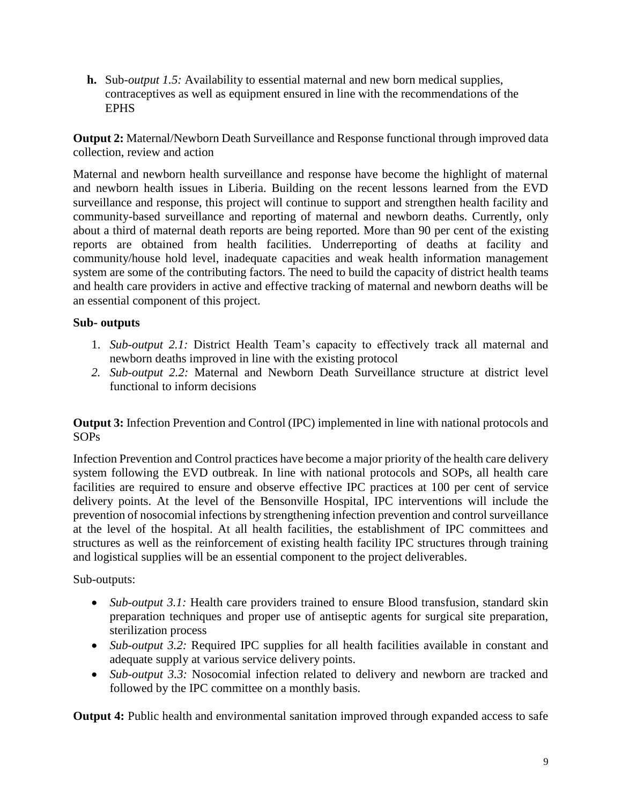**h.** Sub*-output 1.5:* Availability to essential maternal and new born medical supplies, contraceptives as well as equipment ensured in line with the recommendations of the EPHS

**Output 2:** Maternal/Newborn Death Surveillance and Response functional through improved data collection, review and action

Maternal and newborn health surveillance and response have become the highlight of maternal and newborn health issues in Liberia. Building on the recent lessons learned from the EVD surveillance and response, this project will continue to support and strengthen health facility and community-based surveillance and reporting of maternal and newborn deaths. Currently, only about a third of maternal death reports are being reported. More than 90 per cent of the existing reports are obtained from health facilities. Underreporting of deaths at facility and community/house hold level, inadequate capacities and weak health information management system are some of the contributing factors. The need to build the capacity of district health teams and health care providers in active and effective tracking of maternal and newborn deaths will be an essential component of this project.

## **Sub- outputs**

- 1. *Sub-output 2.1:* District Health Team's capacity to effectively track all maternal and newborn deaths improved in line with the existing protocol
- *2. Sub-output 2.2:* Maternal and Newborn Death Surveillance structure at district level functional to inform decisions

**Output 3:** Infection Prevention and Control (IPC) implemented in line with national protocols and SOPs

Infection Prevention and Control practices have become a major priority of the health care delivery system following the EVD outbreak. In line with national protocols and SOPs, all health care facilities are required to ensure and observe effective IPC practices at 100 per cent of service delivery points. At the level of the Bensonville Hospital, IPC interventions will include the prevention of nosocomial infections by strengthening infection prevention and control surveillance at the level of the hospital. At all health facilities, the establishment of IPC committees and structures as well as the reinforcement of existing health facility IPC structures through training and logistical supplies will be an essential component to the project deliverables.

## Sub-outputs:

- *Sub-output* 3.1: Health care providers trained to ensure Blood transfusion, standard skin preparation techniques and proper use of antiseptic agents for surgical site preparation, sterilization process
- *Sub-output* 3.2: Required IPC supplies for all health facilities available in constant and adequate supply at various service delivery points.
- *Sub-output 3.3:* Nosocomial infection related to delivery and newborn are tracked and followed by the IPC committee on a monthly basis.

**Output 4:** Public health and environmental sanitation improved through expanded access to safe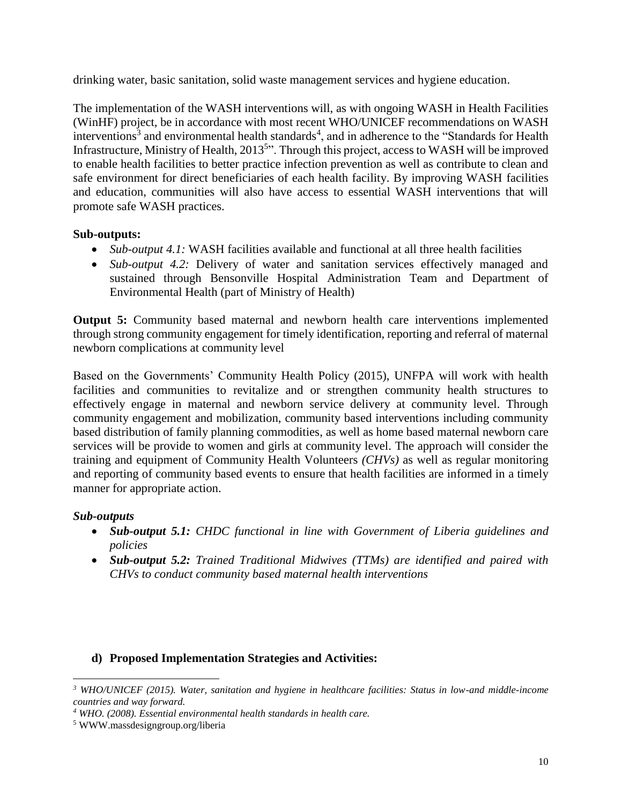drinking water, basic sanitation, solid waste management services and hygiene education.

The implementation of the WASH interventions will, as with ongoing WASH in Health Facilities (WinHF) project, be in accordance with most recent WHO/UNICEF recommendations on WASH interventions<sup>3</sup> and environmental health standards<sup>4</sup>, and in adherence to the "Standards for Health Infrastructure, Ministry of Health, 2013<sup>5</sup>". Through this project, access to WASH will be improved to enable health facilities to better practice infection prevention as well as contribute to clean and safe environment for direct beneficiaries of each health facility. By improving WASH facilities and education, communities will also have access to essential WASH interventions that will promote safe WASH practices.

## **Sub-outputs:**

- *Sub-output 4.1:* WASH facilities available and functional at all three health facilities
- *Sub-output 4.2:* Delivery of water and sanitation services effectively managed and sustained through Bensonville Hospital Administration Team and Department of Environmental Health (part of Ministry of Health)

**Output 5:** Community based maternal and newborn health care interventions implemented through strong community engagement for timely identification, reporting and referral of maternal newborn complications at community level

Based on the Governments' Community Health Policy (2015), UNFPA will work with health facilities and communities to revitalize and or strengthen community health structures to effectively engage in maternal and newborn service delivery at community level. Through community engagement and mobilization, community based interventions including community based distribution of family planning commodities, as well as home based maternal newborn care services will be provide to women and girls at community level. The approach will consider the training and equipment of Community Health Volunteers *(CHVs)* as well as regular monitoring and reporting of community based events to ensure that health facilities are informed in a timely manner for appropriate action.

## *Sub-outputs*

- *Sub-output 5.1: CHDC functional in line with Government of Liberia guidelines and policies*
- *Sub-output 5.2: Trained Traditional Midwives (TTMs) are identified and paired with CHVs to conduct community based maternal health interventions*

## **d) Proposed Implementation Strategies and Activities:**

 $\overline{\phantom{a}}$ *<sup>3</sup> WHO/UNICEF (2015). Water, sanitation and hygiene in healthcare facilities: Status in low-and middle-income countries and way forward.* 

*<sup>4</sup> WHO. (2008). Essential environmental health standards in health care.*

<sup>5</sup> WWW.massdesigngroup.org/liberia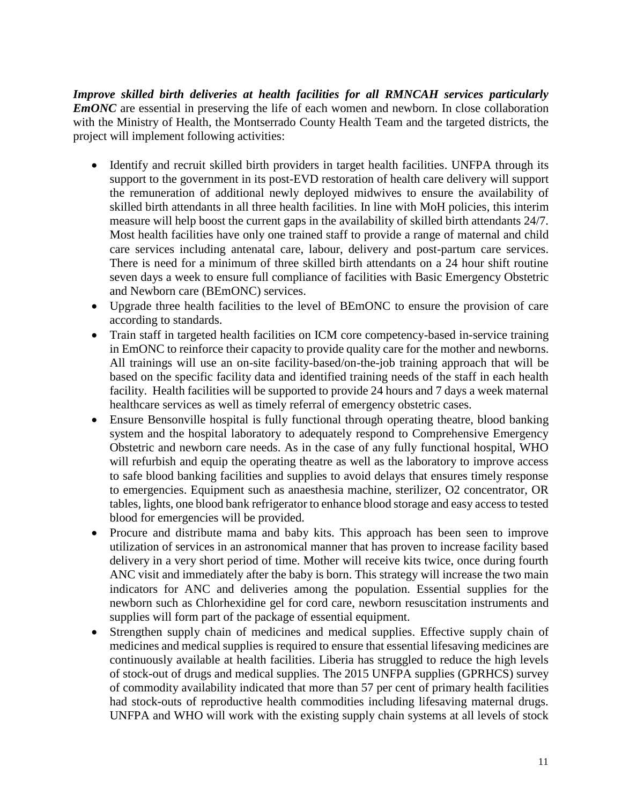*Improve skilled birth deliveries at health facilities for all RMNCAH services particularly EmONC* are essential in preserving the life of each women and newborn. In close collaboration with the Ministry of Health, the Montserrado County Health Team and the targeted districts, the project will implement following activities:

- Identify and recruit skilled birth providers in target health facilities. UNFPA through its support to the government in its post-EVD restoration of health care delivery will support the remuneration of additional newly deployed midwives to ensure the availability of skilled birth attendants in all three health facilities. In line with MoH policies, this interim measure will help boost the current gaps in the availability of skilled birth attendants 24/7. Most health facilities have only one trained staff to provide a range of maternal and child care services including antenatal care, labour, delivery and post-partum care services. There is need for a minimum of three skilled birth attendants on a 24 hour shift routine seven days a week to ensure full compliance of facilities with Basic Emergency Obstetric and Newborn care (BEmONC) services.
- Upgrade three health facilities to the level of BEmONC to ensure the provision of care according to standards.
- Train staff in targeted health facilities on ICM core competency-based in-service training in EmONC to reinforce their capacity to provide quality care for the mother and newborns. All trainings will use an on-site facility-based/on-the-job training approach that will be based on the specific facility data and identified training needs of the staff in each health facility. Health facilities will be supported to provide 24 hours and 7 days a week maternal healthcare services as well as timely referral of emergency obstetric cases.
- Ensure Bensonville hospital is fully functional through operating theatre, blood banking system and the hospital laboratory to adequately respond to Comprehensive Emergency Obstetric and newborn care needs. As in the case of any fully functional hospital, WHO will refurbish and equip the operating theatre as well as the laboratory to improve access to safe blood banking facilities and supplies to avoid delays that ensures timely response to emergencies. Equipment such as anaesthesia machine, sterilizer, O2 concentrator, OR tables, lights, one blood bank refrigerator to enhance blood storage and easy access to tested blood for emergencies will be provided.
- Procure and distribute mama and baby kits. This approach has been seen to improve utilization of services in an astronomical manner that has proven to increase facility based delivery in a very short period of time. Mother will receive kits twice, once during fourth ANC visit and immediately after the baby is born. This strategy will increase the two main indicators for ANC and deliveries among the population. Essential supplies for the newborn such as Chlorhexidine gel for cord care, newborn resuscitation instruments and supplies will form part of the package of essential equipment.
- Strengthen supply chain of medicines and medical supplies. Effective supply chain of medicines and medical supplies is required to ensure that essential lifesaving medicines are continuously available at health facilities. Liberia has struggled to reduce the high levels of stock-out of drugs and medical supplies. The 2015 UNFPA supplies (GPRHCS) survey of commodity availability indicated that more than 57 per cent of primary health facilities had stock-outs of reproductive health commodities including lifesaving maternal drugs. UNFPA and WHO will work with the existing supply chain systems at all levels of stock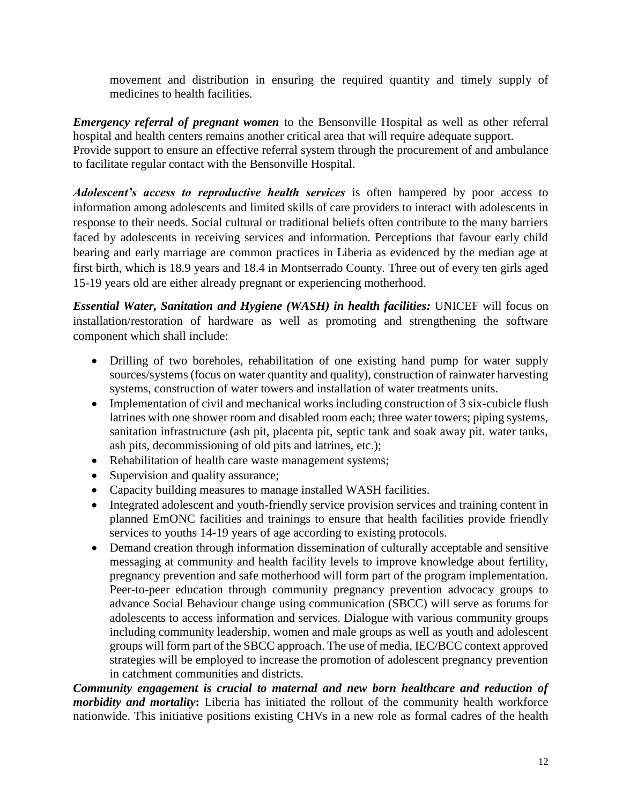movement and distribution in ensuring the required quantity and timely supply of medicines to health facilities.

*Emergency referral of pregnant women* to the Bensonville Hospital as well as other referral hospital and health centers remains another critical area that will require adequate support. Provide support to ensure an effective referral system through the procurement of and ambulance

to facilitate regular contact with the Bensonville Hospital.

*Adolescent's access to reproductive health services* is often hampered by poor access to information among adolescents and limited skills of care providers to interact with adolescents in response to their needs. Social cultural or traditional beliefs often contribute to the many barriers faced by adolescents in receiving services and information. Perceptions that favour early child bearing and early marriage are common practices in Liberia as evidenced by the median age at first birth, which is 18.9 years and 18.4 in Montserrado County. Three out of every ten girls aged 15-19 years old are either already pregnant or experiencing motherhood.

*Essential Water, Sanitation and Hygiene (WASH) in health facilities:* UNICEF will focus on installation/restoration of hardware as well as promoting and strengthening the software component which shall include:

- Drilling of two boreholes, rehabilitation of one existing hand pump for water supply sources/systems (focus on water quantity and quality), construction of rainwater harvesting systems, construction of water towers and installation of water treatments units.
- Implementation of civil and mechanical works including construction of 3 six-cubicle flush latrines with one shower room and disabled room each; three water towers; piping systems, sanitation infrastructure (ash pit, placenta pit, septic tank and soak away pit. water tanks, ash pits, decommissioning of old pits and latrines, etc.);
- Rehabilitation of health care waste management systems;
- Supervision and quality assurance;
- Capacity building measures to manage installed WASH facilities.
- Integrated adolescent and youth-friendly service provision services and training content in planned EmONC facilities and trainings to ensure that health facilities provide friendly services to youths 14-19 years of age according to existing protocols.
- Demand creation through information dissemination of culturally acceptable and sensitive messaging at community and health facility levels to improve knowledge about fertility, pregnancy prevention and safe motherhood will form part of the program implementation. Peer-to-peer education through community pregnancy prevention advocacy groups to advance Social Behaviour change using communication (SBCC) will serve as forums for adolescents to access information and services. Dialogue with various community groups including community leadership, women and male groups as well as youth and adolescent groups will form part of the SBCC approach. The use of media, IEC/BCC context approved strategies will be employed to increase the promotion of adolescent pregnancy prevention in catchment communities and districts.

*Community engagement is crucial to maternal and new born healthcare and reduction of morbidity and mortality***:** Liberia has initiated the rollout of the community health workforce nationwide. This initiative positions existing CHVs in a new role as formal cadres of the health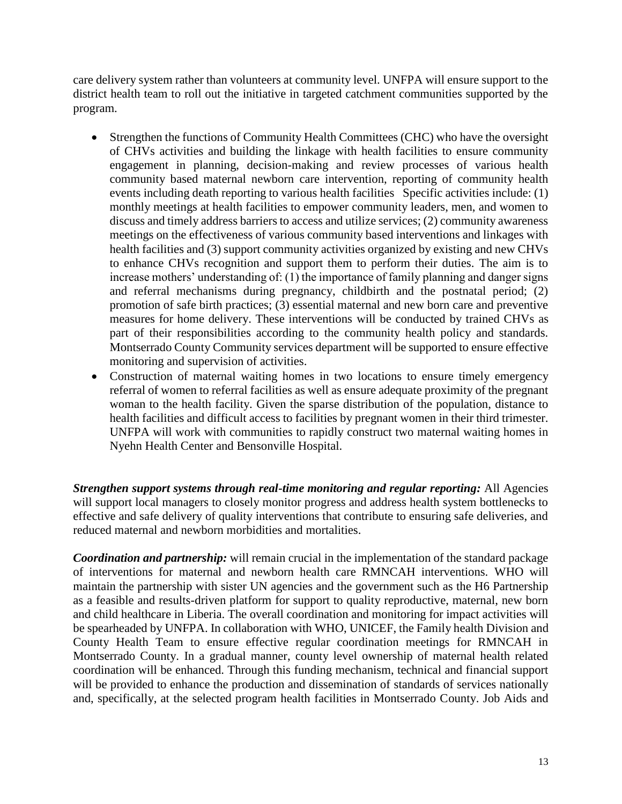care delivery system rather than volunteers at community level. UNFPA will ensure support to the district health team to roll out the initiative in targeted catchment communities supported by the program.

- Strengthen the functions of Community Health Committees (CHC) who have the oversight of CHVs activities and building the linkage with health facilities to ensure community engagement in planning, decision-making and review processes of various health community based maternal newborn care intervention, reporting of community health events including death reporting to various health facilities Specific activities include: (1) monthly meetings at health facilities to empower community leaders, men, and women to discuss and timely address barriers to access and utilize services; (2) community awareness meetings on the effectiveness of various community based interventions and linkages with health facilities and (3) support community activities organized by existing and new CHVs to enhance CHVs recognition and support them to perform their duties. The aim is to increase mothers' understanding of: (1) the importance of family planning and danger signs and referral mechanisms during pregnancy, childbirth and the postnatal period; (2) promotion of safe birth practices; (3) essential maternal and new born care and preventive measures for home delivery. These interventions will be conducted by trained CHVs as part of their responsibilities according to the community health policy and standards. Montserrado County Community services department will be supported to ensure effective monitoring and supervision of activities.
- Construction of maternal waiting homes in two locations to ensure timely emergency referral of women to referral facilities as well as ensure adequate proximity of the pregnant woman to the health facility. Given the sparse distribution of the population, distance to health facilities and difficult access to facilities by pregnant women in their third trimester. UNFPA will work with communities to rapidly construct two maternal waiting homes in Nyehn Health Center and Bensonville Hospital.

*Strengthen support systems through real-time monitoring and regular reporting:* All Agencies will support local managers to closely monitor progress and address health system bottlenecks to effective and safe delivery of quality interventions that contribute to ensuring safe deliveries, and reduced maternal and newborn morbidities and mortalities.

*Coordination and partnership:* will remain crucial in the implementation of the standard package of interventions for maternal and newborn health care RMNCAH interventions. WHO will maintain the partnership with sister UN agencies and the government such as the H6 Partnership as a feasible and results-driven platform for support to quality reproductive, maternal, new born and child healthcare in Liberia. The overall coordination and monitoring for impact activities will be spearheaded by UNFPA. In collaboration with WHO, UNICEF, the Family health Division and County Health Team to ensure effective regular coordination meetings for RMNCAH in Montserrado County. In a gradual manner, county level ownership of maternal health related coordination will be enhanced. Through this funding mechanism, technical and financial support will be provided to enhance the production and dissemination of standards of services nationally and, specifically, at the selected program health facilities in Montserrado County. Job Aids and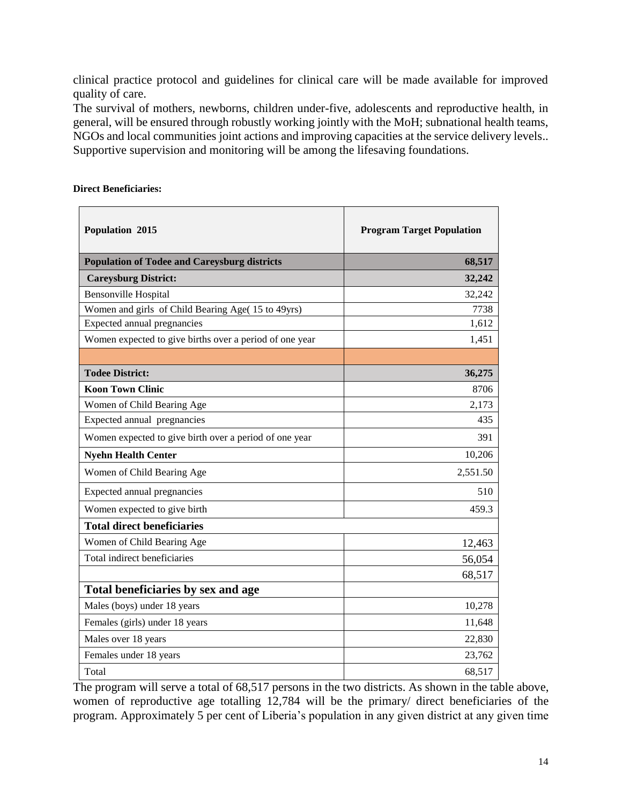clinical practice protocol and guidelines for clinical care will be made available for improved quality of care.

The survival of mothers, newborns, children under-five, adolescents and reproductive health, in general, will be ensured through robustly working jointly with the MoH; subnational health teams, NGOs and local communities joint actions and improving capacities at the service delivery levels.. Supportive supervision and monitoring will be among the lifesaving foundations.

| Population 2015                                         | <b>Program Target Population</b> |
|---------------------------------------------------------|----------------------------------|
| <b>Population of Todee and Careysburg districts</b>     | 68,517                           |
| <b>Careysburg District:</b>                             | 32,242                           |
| <b>Bensonville Hospital</b>                             | 32,242                           |
| Women and girls of Child Bearing Age(15 to 49yrs)       | 7738                             |
| Expected annual pregnancies                             | 1,612                            |
| Women expected to give births over a period of one year | 1,451                            |
|                                                         |                                  |
| <b>Todee District:</b>                                  | 36,275                           |
| <b>Koon Town Clinic</b>                                 | 8706                             |
| Women of Child Bearing Age                              | 2,173                            |
| Expected annual pregnancies                             | 435                              |
| Women expected to give birth over a period of one year  | 391                              |
| <b>Nyehn Health Center</b>                              | 10,206                           |
| Women of Child Bearing Age                              | 2,551.50                         |
| Expected annual pregnancies                             | 510                              |
| Women expected to give birth                            | 459.3                            |
| <b>Total direct beneficiaries</b>                       |                                  |
| Women of Child Bearing Age                              | 12,463                           |
| Total indirect beneficiaries                            | 56,054                           |
|                                                         | 68,517                           |
| Total beneficiaries by sex and age                      |                                  |
| Males (boys) under 18 years                             | 10,278                           |
| Females (girls) under 18 years                          | 11,648                           |
| Males over 18 years                                     | 22,830                           |
| Females under 18 years                                  | 23,762                           |
| Total                                                   | 68,517                           |

#### **Direct Beneficiaries:**

The program will serve a total of 68,517 persons in the two districts. As shown in the table above, women of reproductive age totalling 12,784 will be the primary/ direct beneficiaries of the program. Approximately 5 per cent of Liberia's population in any given district at any given time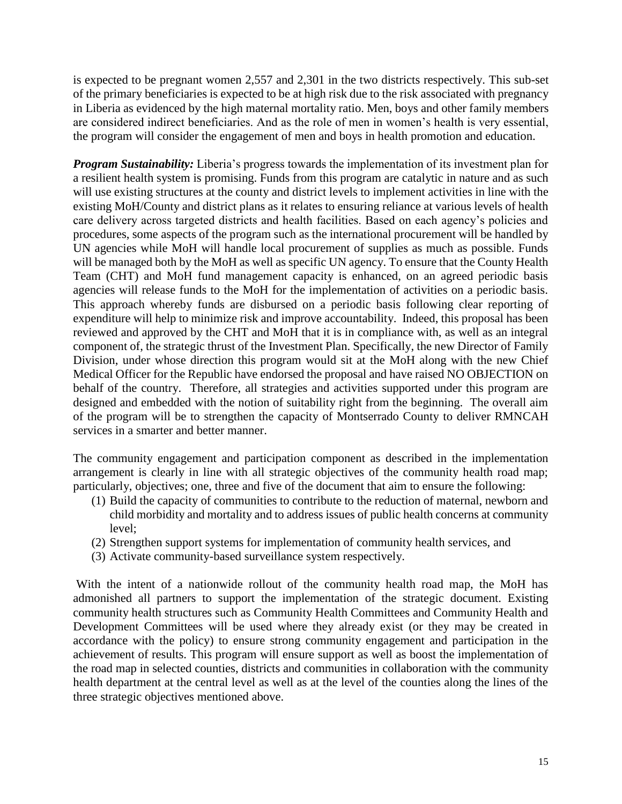is expected to be pregnant women 2,557 and 2,301 in the two districts respectively. This sub-set of the primary beneficiaries is expected to be at high risk due to the risk associated with pregnancy in Liberia as evidenced by the high maternal mortality ratio. Men, boys and other family members are considered indirect beneficiaries. And as the role of men in women's health is very essential, the program will consider the engagement of men and boys in health promotion and education.

*Program Sustainability:* Liberia's progress towards the implementation of its investment plan for a resilient health system is promising. Funds from this program are catalytic in nature and as such will use existing structures at the county and district levels to implement activities in line with the existing MoH/County and district plans as it relates to ensuring reliance at various levels of health care delivery across targeted districts and health facilities. Based on each agency's policies and procedures, some aspects of the program such as the international procurement will be handled by UN agencies while MoH will handle local procurement of supplies as much as possible. Funds will be managed both by the MoH as well as specific UN agency. To ensure that the County Health Team (CHT) and MoH fund management capacity is enhanced, on an agreed periodic basis agencies will release funds to the MoH for the implementation of activities on a periodic basis. This approach whereby funds are disbursed on a periodic basis following clear reporting of expenditure will help to minimize risk and improve accountability. Indeed, this proposal has been reviewed and approved by the CHT and MoH that it is in compliance with, as well as an integral component of, the strategic thrust of the Investment Plan. Specifically, the new Director of Family Division, under whose direction this program would sit at the MoH along with the new Chief Medical Officer for the Republic have endorsed the proposal and have raised NO OBJECTION on behalf of the country. Therefore, all strategies and activities supported under this program are designed and embedded with the notion of suitability right from the beginning. The overall aim of the program will be to strengthen the capacity of Montserrado County to deliver RMNCAH services in a smarter and better manner.

The community engagement and participation component as described in the implementation arrangement is clearly in line with all strategic objectives of the community health road map; particularly, objectives; one, three and five of the document that aim to ensure the following:

- (1) Build the capacity of communities to contribute to the reduction of maternal, newborn and child morbidity and mortality and to address issues of public health concerns at community level;
- (2) Strengthen support systems for implementation of community health services, and
- (3) Activate community-based surveillance system respectively.

With the intent of a nationwide rollout of the community health road map, the MoH has admonished all partners to support the implementation of the strategic document. Existing community health structures such as Community Health Committees and Community Health and Development Committees will be used where they already exist (or they may be created in accordance with the policy) to ensure strong community engagement and participation in the achievement of results. This program will ensure support as well as boost the implementation of the road map in selected counties, districts and communities in collaboration with the community health department at the central level as well as at the level of the counties along the lines of the three strategic objectives mentioned above.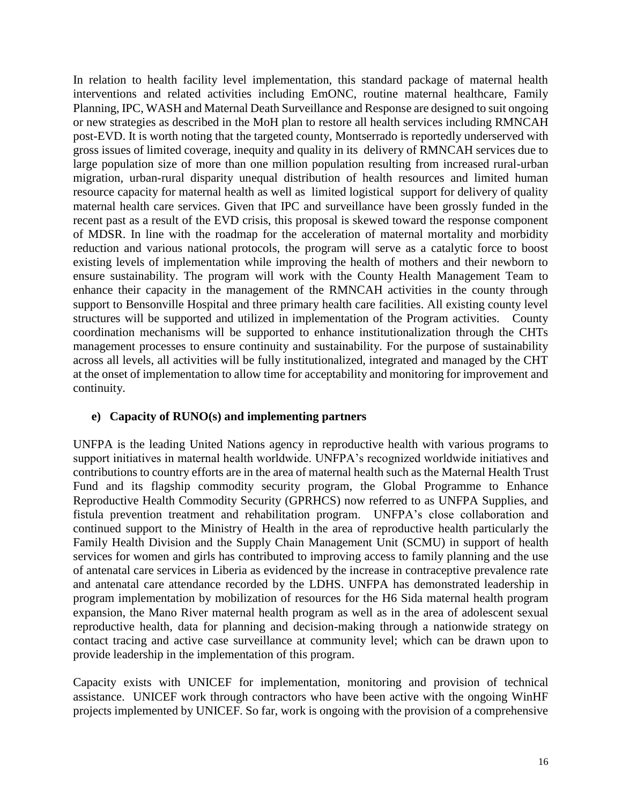In relation to health facility level implementation, this standard package of maternal health interventions and related activities including EmONC, routine maternal healthcare, Family Planning, IPC, WASH and Maternal Death Surveillance and Response are designed to suit ongoing or new strategies as described in the MoH plan to restore all health services including RMNCAH post-EVD. It is worth noting that the targeted county, Montserrado is reportedly underserved with gross issues of limited coverage, inequity and quality in its delivery of RMNCAH services due to large population size of more than one million population resulting from increased rural-urban migration, urban-rural disparity unequal distribution of health resources and limited human resource capacity for maternal health as well as limited logistical support for delivery of quality maternal health care services. Given that IPC and surveillance have been grossly funded in the recent past as a result of the EVD crisis, this proposal is skewed toward the response component of MDSR. In line with the roadmap for the acceleration of maternal mortality and morbidity reduction and various national protocols, the program will serve as a catalytic force to boost existing levels of implementation while improving the health of mothers and their newborn to ensure sustainability. The program will work with the County Health Management Team to enhance their capacity in the management of the RMNCAH activities in the county through support to Bensonville Hospital and three primary health care facilities. All existing county level structures will be supported and utilized in implementation of the Program activities. County coordination mechanisms will be supported to enhance institutionalization through the CHTs management processes to ensure continuity and sustainability. For the purpose of sustainability across all levels, all activities will be fully institutionalized, integrated and managed by the CHT at the onset of implementation to allow time for acceptability and monitoring for improvement and continuity.

## **e) Capacity of RUNO(s) and implementing partners**

UNFPA is the leading United Nations agency in reproductive health with various programs to support initiatives in maternal health worldwide. UNFPA's recognized worldwide initiatives and contributions to country efforts are in the area of maternal health such as the Maternal Health Trust Fund and its flagship commodity security program, the Global Programme to Enhance Reproductive Health Commodity Security (GPRHCS) now referred to as UNFPA Supplies, and fistula prevention treatment and rehabilitation program. UNFPA's close collaboration and continued support to the Ministry of Health in the area of reproductive health particularly the Family Health Division and the Supply Chain Management Unit (SCMU) in support of health services for women and girls has contributed to improving access to family planning and the use of antenatal care services in Liberia as evidenced by the increase in contraceptive prevalence rate and antenatal care attendance recorded by the LDHS. UNFPA has demonstrated leadership in program implementation by mobilization of resources for the H6 Sida maternal health program expansion, the Mano River maternal health program as well as in the area of adolescent sexual reproductive health, data for planning and decision-making through a nationwide strategy on contact tracing and active case surveillance at community level; which can be drawn upon to provide leadership in the implementation of this program.

Capacity exists with UNICEF for implementation, monitoring and provision of technical assistance. UNICEF work through contractors who have been active with the ongoing WinHF projects implemented by UNICEF. So far, work is ongoing with the provision of a comprehensive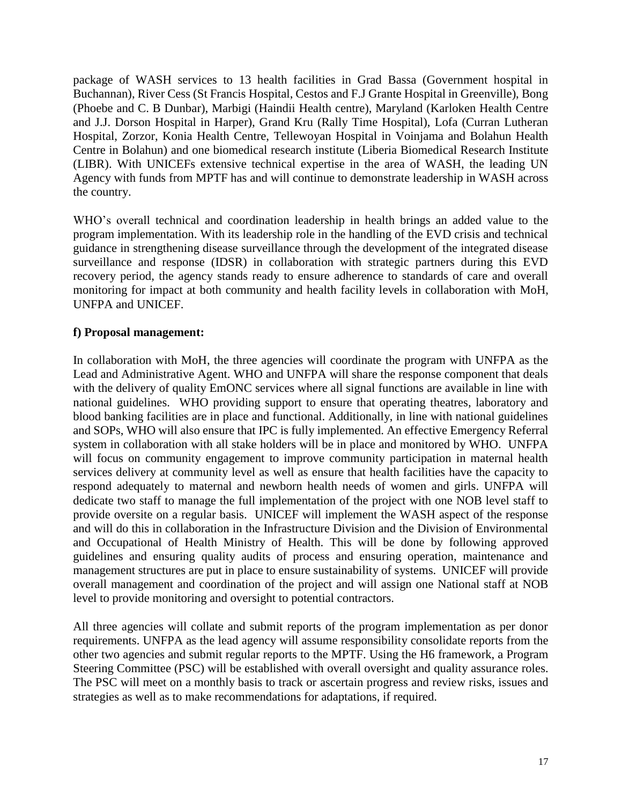package of WASH services to 13 health facilities in Grad Bassa (Government hospital in Buchannan), River Cess (St Francis Hospital, Cestos and F.J Grante Hospital in Greenville), Bong (Phoebe and C. B Dunbar), Marbigi (Haindii Health centre), Maryland (Karloken Health Centre and J.J. Dorson Hospital in Harper), Grand Kru (Rally Time Hospital), Lofa (Curran Lutheran Hospital, Zorzor, Konia Health Centre, Tellewoyan Hospital in Voinjama and Bolahun Health Centre in Bolahun) and one biomedical research institute (Liberia Biomedical Research Institute (LIBR). With UNICEFs extensive technical expertise in the area of WASH, the leading UN Agency with funds from MPTF has and will continue to demonstrate leadership in WASH across the country.

WHO's overall technical and coordination leadership in health brings an added value to the program implementation. With its leadership role in the handling of the EVD crisis and technical guidance in strengthening disease surveillance through the development of the integrated disease surveillance and response (IDSR) in collaboration with strategic partners during this EVD recovery period, the agency stands ready to ensure adherence to standards of care and overall monitoring for impact at both community and health facility levels in collaboration with MoH, UNFPA and UNICEF.

## **f) Proposal management:**

In collaboration with MoH, the three agencies will coordinate the program with UNFPA as the Lead and Administrative Agent. WHO and UNFPA will share the response component that deals with the delivery of quality EmONC services where all signal functions are available in line with national guidelines. WHO providing support to ensure that operating theatres, laboratory and blood banking facilities are in place and functional. Additionally, in line with national guidelines and SOPs, WHO will also ensure that IPC is fully implemented. An effective Emergency Referral system in collaboration with all stake holders will be in place and monitored by WHO. UNFPA will focus on community engagement to improve community participation in maternal health services delivery at community level as well as ensure that health facilities have the capacity to respond adequately to maternal and newborn health needs of women and girls. UNFPA will dedicate two staff to manage the full implementation of the project with one NOB level staff to provide oversite on a regular basis. UNICEF will implement the WASH aspect of the response and will do this in collaboration in the Infrastructure Division and the Division of Environmental and Occupational of Health Ministry of Health. This will be done by following approved guidelines and ensuring quality audits of process and ensuring operation, maintenance and management structures are put in place to ensure sustainability of systems. UNICEF will provide overall management and coordination of the project and will assign one National staff at NOB level to provide monitoring and oversight to potential contractors.

All three agencies will collate and submit reports of the program implementation as per donor requirements. UNFPA as the lead agency will assume responsibility consolidate reports from the other two agencies and submit regular reports to the MPTF. Using the H6 framework, a Program Steering Committee (PSC) will be established with overall oversight and quality assurance roles. The PSC will meet on a monthly basis to track or ascertain progress and review risks, issues and strategies as well as to make recommendations for adaptations, if required.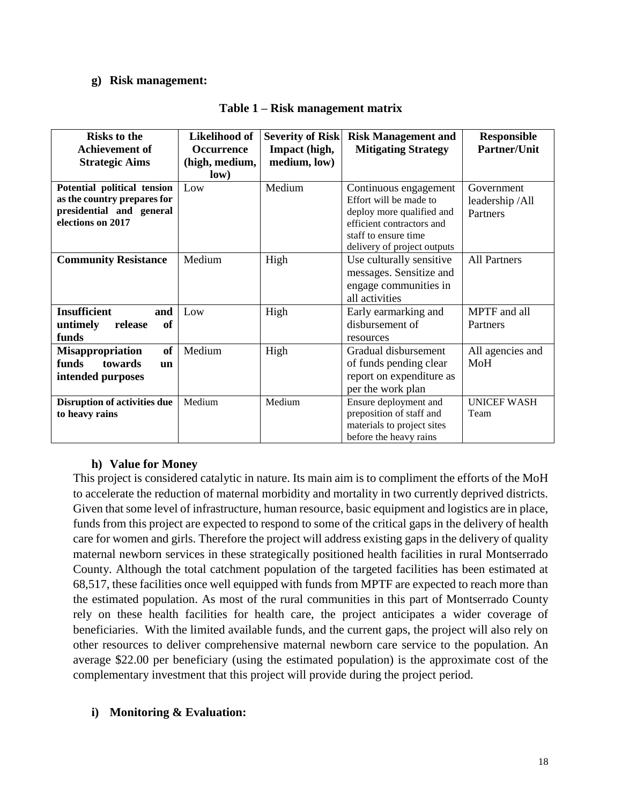#### **g) Risk management:**

| <b>Risks to the</b>                 | Likelihood of     | <b>Severity of Risk</b> | <b>Risk Management and</b>  | <b>Responsible</b>  |
|-------------------------------------|-------------------|-------------------------|-----------------------------|---------------------|
| <b>Achievement of</b>               | <b>Occurrence</b> | Impact (high,           | <b>Mitigating Strategy</b>  | Partner/Unit        |
| <b>Strategic Aims</b>               | (high, medium,    | medium, low)            |                             |                     |
|                                     | low)              |                         |                             |                     |
| Potential political tension         | Low               | Medium                  | Continuous engagement       | Government          |
| as the country prepares for         |                   |                         | Effort will be made to      | leadership/All      |
| presidential and general            |                   |                         | deploy more qualified and   | Partners            |
| elections on 2017                   |                   |                         | efficient contractors and   |                     |
|                                     |                   |                         | staff to ensure time        |                     |
|                                     |                   |                         | delivery of project outputs |                     |
| <b>Community Resistance</b>         | Medium            | High                    | Use culturally sensitive    | <b>All Partners</b> |
|                                     |                   |                         | messages. Sensitize and     |                     |
|                                     |                   |                         | engage communities in       |                     |
|                                     |                   |                         | all activities              |                     |
| <b>Insufficient</b><br>and          | Low               | High                    | Early earmarking and        | MPTF and all        |
| untimely<br>of<br>release           |                   |                         | disbursement of             | Partners            |
| funds                               |                   |                         | resources                   |                     |
| of<br>Misappropriation              | Medium            | High                    | Gradual disbursement        | All agencies and    |
| funds<br>towards<br>$\mathbf{u}$    |                   |                         | of funds pending clear      | MoH                 |
| intended purposes                   |                   |                         | report on expenditure as    |                     |
|                                     |                   |                         | per the work plan           |                     |
| <b>Disruption of activities due</b> | Medium            | Medium                  | Ensure deployment and       | <b>UNICEF WASH</b>  |
| to heavy rains                      |                   |                         | preposition of staff and    | Team                |
|                                     |                   |                         | materials to project sites  |                     |
|                                     |                   |                         | before the heavy rains      |                     |

#### **Table 1 – Risk management matrix**

#### **h) Value for Money**

This project is considered catalytic in nature. Its main aim is to compliment the efforts of the MoH to accelerate the reduction of maternal morbidity and mortality in two currently deprived districts. Given that some level of infrastructure, human resource, basic equipment and logistics are in place, funds from this project are expected to respond to some of the critical gaps in the delivery of health care for women and girls. Therefore the project will address existing gaps in the delivery of quality maternal newborn services in these strategically positioned health facilities in rural Montserrado County. Although the total catchment population of the targeted facilities has been estimated at 68,517, these facilities once well equipped with funds from MPTF are expected to reach more than the estimated population. As most of the rural communities in this part of Montserrado County rely on these health facilities for health care, the project anticipates a wider coverage of beneficiaries. With the limited available funds, and the current gaps, the project will also rely on other resources to deliver comprehensive maternal newborn care service to the population. An average \$22.00 per beneficiary (using the estimated population) is the approximate cost of the complementary investment that this project will provide during the project period.

## **i) Monitoring & Evaluation:**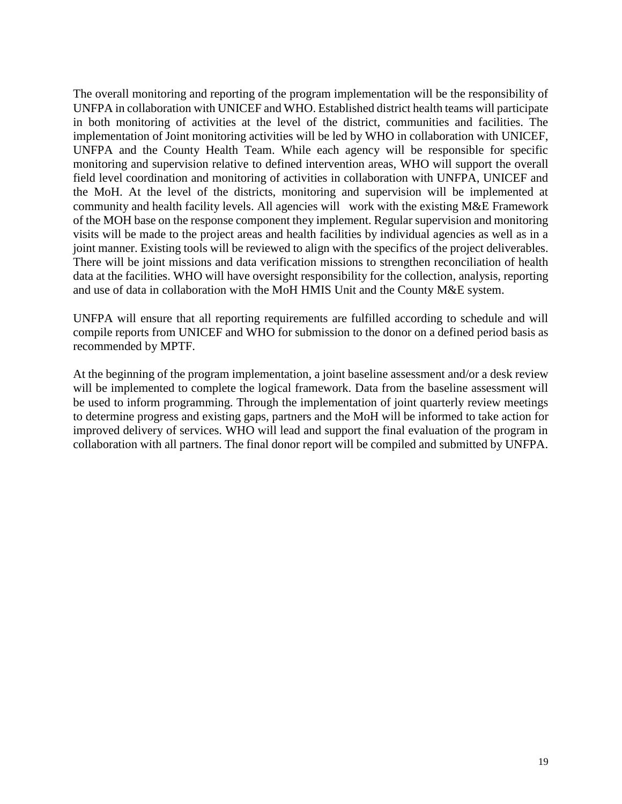The overall monitoring and reporting of the program implementation will be the responsibility of UNFPA in collaboration with UNICEF and WHO. Established district health teams will participate in both monitoring of activities at the level of the district, communities and facilities. The implementation of Joint monitoring activities will be led by WHO in collaboration with UNICEF, UNFPA and the County Health Team. While each agency will be responsible for specific monitoring and supervision relative to defined intervention areas, WHO will support the overall field level coordination and monitoring of activities in collaboration with UNFPA, UNICEF and the MoH. At the level of the districts, monitoring and supervision will be implemented at community and health facility levels. All agencies will work with the existing M&E Framework of the MOH base on the response component they implement. Regular supervision and monitoring visits will be made to the project areas and health facilities by individual agencies as well as in a joint manner. Existing tools will be reviewed to align with the specifics of the project deliverables. There will be joint missions and data verification missions to strengthen reconciliation of health data at the facilities. WHO will have oversight responsibility for the collection, analysis, reporting and use of data in collaboration with the MoH HMIS Unit and the County M&E system.

UNFPA will ensure that all reporting requirements are fulfilled according to schedule and will compile reports from UNICEF and WHO for submission to the donor on a defined period basis as recommended by MPTF.

At the beginning of the program implementation, a joint baseline assessment and/or a desk review will be implemented to complete the logical framework. Data from the baseline assessment will be used to inform programming. Through the implementation of joint quarterly review meetings to determine progress and existing gaps, partners and the MoH will be informed to take action for improved delivery of services. WHO will lead and support the final evaluation of the program in collaboration with all partners. The final donor report will be compiled and submitted by UNFPA.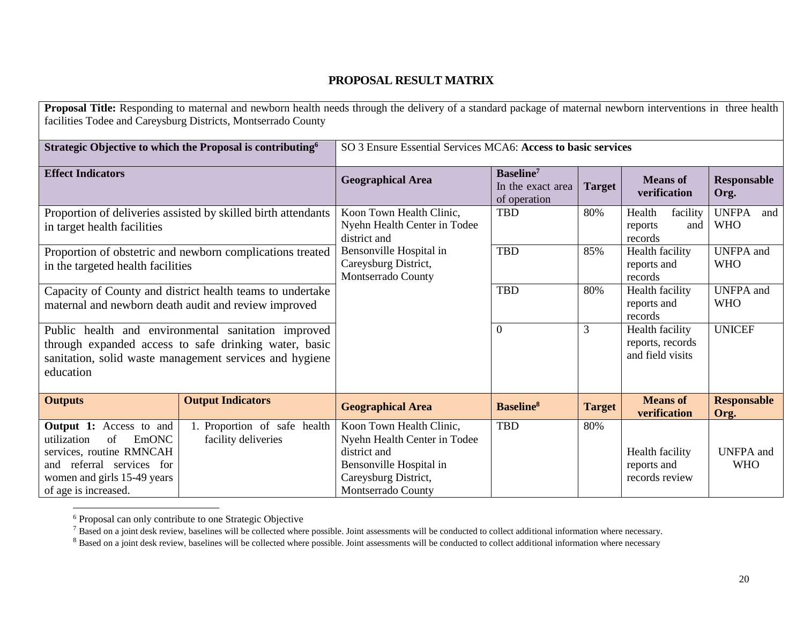## **PROPOSAL RESULT MATRIX**

|                                                                                                                                                                                     | Proposal Title: Responding to maternal and newborn health needs through the delivery of a standard package of maternal newborn interventions in three health<br>facilities Todee and Careysburg Districts, Montserrado County |                                                                                                                                                   |                                                            |               |                                                         |                                   |
|-------------------------------------------------------------------------------------------------------------------------------------------------------------------------------------|-------------------------------------------------------------------------------------------------------------------------------------------------------------------------------------------------------------------------------|---------------------------------------------------------------------------------------------------------------------------------------------------|------------------------------------------------------------|---------------|---------------------------------------------------------|-----------------------------------|
|                                                                                                                                                                                     | Strategic Objective to which the Proposal is contributing <sup>6</sup>                                                                                                                                                        | SO 3 Ensure Essential Services MCA6: Access to basic services                                                                                     |                                                            |               |                                                         |                                   |
| <b>Effect Indicators</b>                                                                                                                                                            |                                                                                                                                                                                                                               | <b>Geographical Area</b>                                                                                                                          | Baseline <sup>7</sup><br>In the exact area<br>of operation | <b>Target</b> | <b>Means</b> of<br>verification                         | <b>Responsable</b><br>Org.        |
| Proportion of deliveries assisted by skilled birth attendants<br>in target health facilities                                                                                        |                                                                                                                                                                                                                               | Koon Town Health Clinic,<br>Nyehn Health Center in Todee<br>district and                                                                          | <b>TBD</b>                                                 | 80%           | Health<br>facility<br>and<br>reports<br>records         | <b>UNFPA</b><br>and<br><b>WHO</b> |
| Proportion of obstetric and newborn complications treated<br>in the targeted health facilities                                                                                      |                                                                                                                                                                                                                               | Bensonville Hospital in<br>Careysburg District,<br>Montserrado County                                                                             | <b>TBD</b>                                                 | 85%           | Health facility<br>reports and<br>records               | <b>UNFPA</b> and<br><b>WHO</b>    |
|                                                                                                                                                                                     | Capacity of County and district health teams to undertake<br>maternal and newborn death audit and review improved                                                                                                             |                                                                                                                                                   | <b>TBD</b>                                                 | 80%           | Health facility<br>reports and<br>records               | <b>UNFPA</b> and<br><b>WHO</b>    |
| education                                                                                                                                                                           | Public health and environmental sanitation improved<br>through expanded access to safe drinking water, basic<br>sanitation, solid waste management services and hygiene                                                       |                                                                                                                                                   | $\overline{0}$                                             | 3             | Health facility<br>reports, records<br>and field visits | <b>UNICEF</b>                     |
| <b>Outputs</b>                                                                                                                                                                      | <b>Output Indicators</b>                                                                                                                                                                                                      | <b>Geographical Area</b>                                                                                                                          | <b>Baseline</b> <sup>8</sup>                               | <b>Target</b> | <b>Means of</b><br>verification                         | <b>Responsable</b><br>Org.        |
| <b>Output 1:</b> Access to and<br>of<br><b>EmONC</b><br>utilization<br>services, routine RMNCAH<br>and referral services for<br>women and girls 15-49 years<br>of age is increased. | 1. Proportion of safe health<br>facility deliveries                                                                                                                                                                           | Koon Town Health Clinic,<br>Nyehn Health Center in Todee<br>district and<br>Bensonville Hospital in<br>Careysburg District,<br>Montserrado County | <b>TBD</b>                                                 | 80%           | Health facility<br>reports and<br>records review        | <b>UNFPA</b> and<br><b>WHO</b>    |

<sup>&</sup>lt;sup>6</sup> Proposal can only contribute to one Strategic Objective

 $\overline{\phantom{a}}$ 

 $^7$  Based on a joint desk review, baselines will be collected where possible. Joint assessments will be conducted to collect additional information where necessary.

<sup>&</sup>lt;sup>8</sup> Based on a joint desk review, baselines will be collected where possible. Joint assessments will be conducted to collect additional information where necessary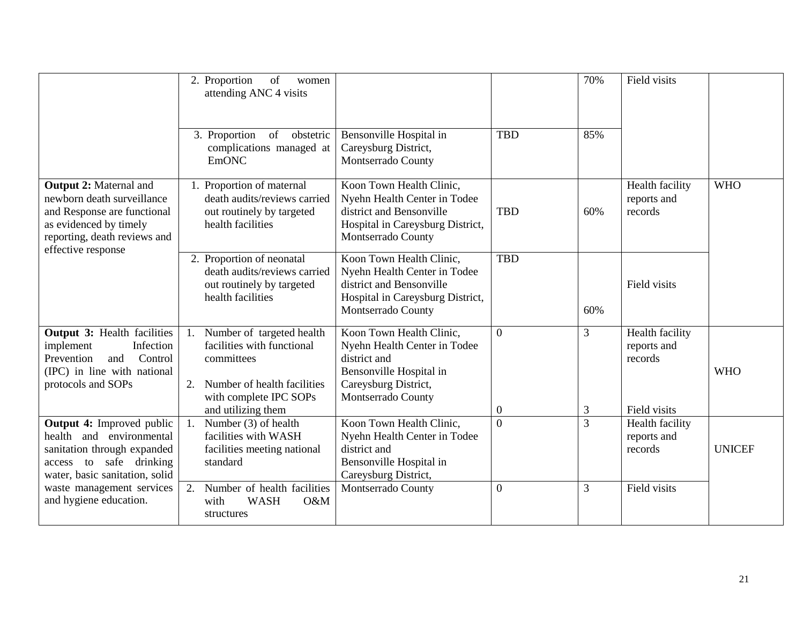|                                                                                                                                                                            | 2. Proportion<br>of<br>women<br>attending ANC 4 visits                                                                                                                                                                                                                                | 70%                                                                                   | Field visits                                                            |
|----------------------------------------------------------------------------------------------------------------------------------------------------------------------------|---------------------------------------------------------------------------------------------------------------------------------------------------------------------------------------------------------------------------------------------------------------------------------------|---------------------------------------------------------------------------------------|-------------------------------------------------------------------------|
|                                                                                                                                                                            | 3. Proportion<br>of obstetric<br>Bensonville Hospital in<br>Careysburg District,<br>complications managed at<br><b>EmONC</b><br>Montserrado County                                                                                                                                    | <b>TBD</b><br>85%                                                                     |                                                                         |
| <b>Output 2: Maternal and</b><br>newborn death surveillance<br>and Response are functional<br>as evidenced by timely<br>reporting, death reviews and<br>effective response | Koon Town Health Clinic,<br>1. Proportion of maternal<br>death audits/reviews carried<br>district and Bensonville<br>out routinely by targeted<br>health facilities<br>Montserrado County                                                                                             | Nyehn Health Center in Todee<br><b>TBD</b><br>60%<br>Hospital in Careysburg District, | Health facility<br><b>WHO</b><br>reports and<br>records                 |
|                                                                                                                                                                            | Koon Town Health Clinic,<br>2. Proportion of neonatal<br>death audits/reviews carried<br>district and Bensonville<br>out routinely by targeted<br>health facilities<br>Montserrado County                                                                                             | <b>TBD</b><br>Nyehn Health Center in Todee<br>Hospital in Careysburg District,<br>60% | Field visits                                                            |
| <b>Output 3: Health facilities</b><br>implement<br>Infection<br>Prevention<br>Control<br>and<br>(IPC) in line with national<br>protocols and SOPs                          | Koon Town Health Clinic,<br>Number of targeted health<br>1.<br>facilities with functional<br>district and<br>committees<br>Bensonville Hospital in<br>Careysburg District,<br>Number of health facilities<br>2.<br>with complete IPC SOPs<br>Montserrado County<br>and utilizing them | $\overline{0}$<br>3<br>Nyehn Health Center in Todee<br>3<br>$\boldsymbol{0}$          | Health facility<br>reports and<br>records<br><b>WHO</b><br>Field visits |
| <b>Output 4:</b> Improved public<br>health and environmental<br>sanitation through expanded<br>access to safe drinking<br>water, basic sanitation, solid                   | Koon Town Health Clinic,<br>Number (3) of health<br>facilities with WASH<br>district and<br>facilities meeting national<br>standard<br>Bensonville Hospital in<br>Careysburg District,                                                                                                | $\overline{0}$<br>$\overline{3}$<br>Nyehn Health Center in Todee                      | Health facility<br>reports and<br>records<br><b>UNICEF</b>              |
| waste management services<br>and hygiene education.                                                                                                                        | Number of health facilities<br>Montserrado County<br>2.<br><b>WASH</b><br>with<br>O&M<br>structures                                                                                                                                                                                   | $\boldsymbol{0}$<br>3                                                                 | Field visits                                                            |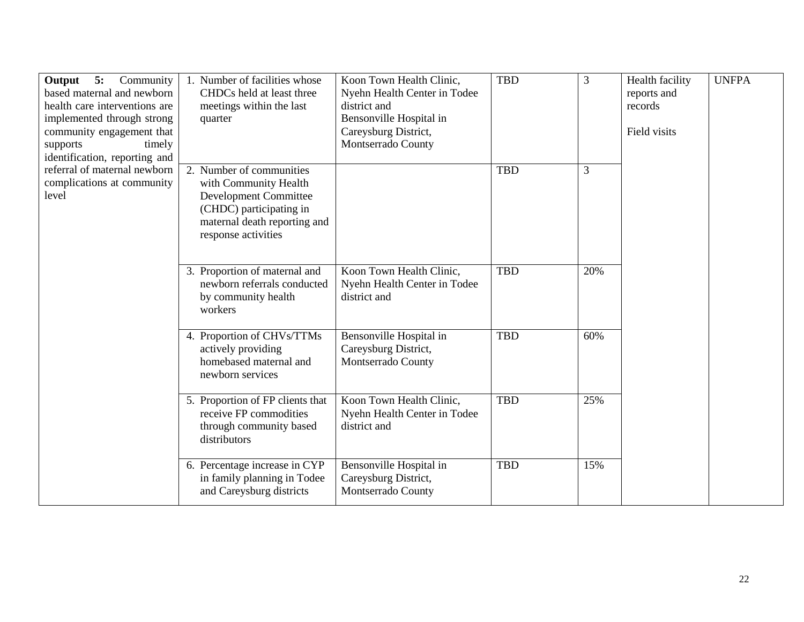| <b>Output</b> 5: Community<br>based maternal and newborn<br>health care interventions are<br>implemented through strong<br>community engagement that<br>supports<br>timely<br>identification, reporting and | 1. Number of facilities whose<br>CHDCs held at least three<br>meetings within the last<br>quarter                                                                   | Koon Town Health Clinic,<br>Nyehn Health Center in Todee<br>district and<br>Bensonville Hospital in<br>Careysburg District,<br>Montserrado County | <b>TBD</b> | 3   | Health facility<br>reports and<br>records<br>Field visits | <b>UNFPA</b> |
|-------------------------------------------------------------------------------------------------------------------------------------------------------------------------------------------------------------|---------------------------------------------------------------------------------------------------------------------------------------------------------------------|---------------------------------------------------------------------------------------------------------------------------------------------------|------------|-----|-----------------------------------------------------------|--------------|
| referral of maternal newborn<br>complications at community<br>level                                                                                                                                         | 2. Number of communities<br>with Community Health<br><b>Development Committee</b><br>(CHDC) participating in<br>maternal death reporting and<br>response activities |                                                                                                                                                   | <b>TBD</b> | 3   |                                                           |              |
|                                                                                                                                                                                                             | 3. Proportion of maternal and<br>newborn referrals conducted<br>by community health<br>workers                                                                      | Koon Town Health Clinic,<br>Nyehn Health Center in Todee<br>district and                                                                          | <b>TBD</b> | 20% |                                                           |              |
|                                                                                                                                                                                                             | 4. Proportion of CHVs/TTMs<br>actively providing<br>homebased maternal and<br>newborn services                                                                      | Bensonville Hospital in<br>Careysburg District,<br>Montserrado County                                                                             | <b>TBD</b> | 60% |                                                           |              |
|                                                                                                                                                                                                             | 5. Proportion of FP clients that<br>receive FP commodities<br>through community based<br>distributors                                                               | Koon Town Health Clinic,<br>Nyehn Health Center in Todee<br>district and                                                                          | <b>TBD</b> | 25% |                                                           |              |
|                                                                                                                                                                                                             | 6. Percentage increase in CYP<br>in family planning in Todee<br>and Careysburg districts                                                                            | Bensonville Hospital in<br>Careysburg District,<br>Montserrado County                                                                             | <b>TBD</b> | 15% |                                                           |              |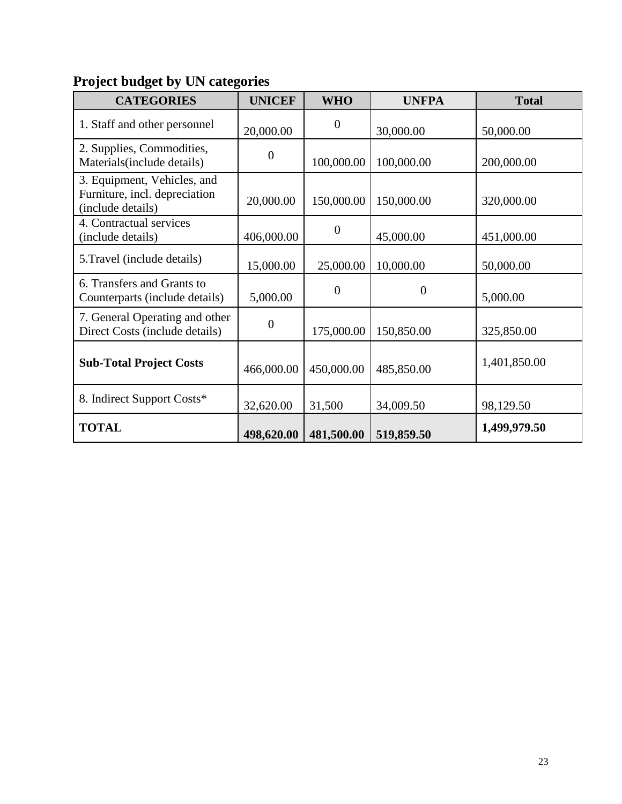# **Project budget by UN categories**

| <b>CATEGORIES</b>                                                                 | <b>UNICEF</b>    | <b>WHO</b>     | <b>UNFPA</b>   | <b>Total</b> |
|-----------------------------------------------------------------------------------|------------------|----------------|----------------|--------------|
| 1. Staff and other personnel                                                      | 20,000.00        | $\theta$       | 30,000.00      | 50,000.00    |
| 2. Supplies, Commodities,<br>Materials (include details)                          | $\boldsymbol{0}$ | 100,000.00     | 100,000.00     | 200,000.00   |
| 3. Equipment, Vehicles, and<br>Furniture, incl. depreciation<br>(include details) | 20,000.00        | 150,000.00     | 150,000.00     | 320,000.00   |
| 4. Contractual services<br>(include details)                                      | 406,000.00       | $\overline{0}$ | 45,000.00      | 451,000.00   |
| 5. Travel (include details)                                                       | 15,000.00        | 25,000.00      | 10,000.00      | 50,000.00    |
| 6. Transfers and Grants to<br>Counterparts (include details)                      | 5,000.00         | $\Omega$       | $\overline{0}$ | 5,000.00     |
| 7. General Operating and other<br>Direct Costs (include details)                  | $\overline{0}$   | 175,000.00     | 150,850.00     | 325,850.00   |
| <b>Sub-Total Project Costs</b>                                                    | 466,000.00       | 450,000.00     | 485,850.00     | 1,401,850.00 |
| 8. Indirect Support Costs*                                                        | 32,620.00        | 31,500         | 34,009.50      | 98,129.50    |
| <b>TOTAL</b>                                                                      | 498,620.00       | 481,500.00     | 519,859.50     | 1,499,979.50 |